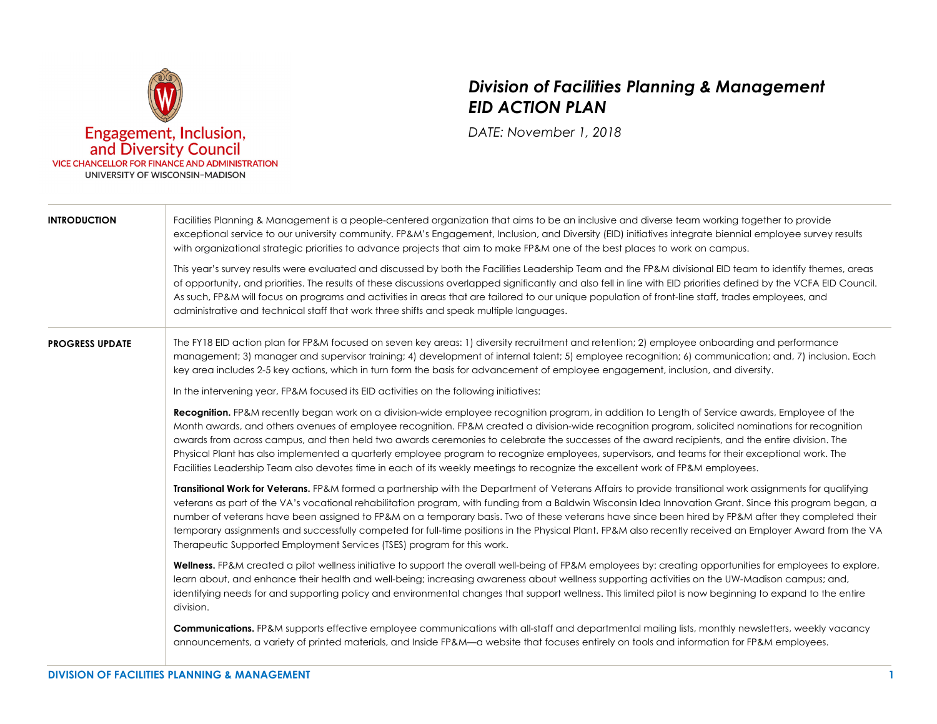

## *Division of Facilities Planning & Management EID ACTION PLAN*

*DATE: November 1, 2018* 

| <b>INTRODUCTION</b>    | Facilities Planning & Management is a people-centered organization that aims to be an inclusive and diverse team working together to provide<br>exceptional service to our university community. FP&M's Engagement, Inclusion, and Diversity (EID) initiatives integrate biennial employee survey results<br>with organizational strategic priorities to advance projects that aim to make FP&M one of the best places to work on campus.<br>This year's survey results were evaluated and discussed by both the Facilities Leadership Team and the FP&M divisional EID team to identify themes, areas<br>of opportunity, and priorities. The results of these discussions overlapped significantly and also fell in line with EID priorities defined by the VCFA EID Council.<br>As such, FP&M will focus on programs and activities in areas that are tailored to our unique population of front-line staff, trades employees, and<br>administrative and technical staff that work three shifts and speak multiple languages. |  |
|------------------------|---------------------------------------------------------------------------------------------------------------------------------------------------------------------------------------------------------------------------------------------------------------------------------------------------------------------------------------------------------------------------------------------------------------------------------------------------------------------------------------------------------------------------------------------------------------------------------------------------------------------------------------------------------------------------------------------------------------------------------------------------------------------------------------------------------------------------------------------------------------------------------------------------------------------------------------------------------------------------------------------------------------------------------|--|
| <b>PROGRESS UPDATE</b> | The FY18 EID action plan for FP&M focused on seven key areas: 1) diversity recruitment and retention; 2) employee onboarding and performance<br>management; 3) manager and supervisor training; 4) development of internal talent; 5) employee recognition; 6) communication; and, 7) inclusion. Each<br>key area includes 2-5 key actions, which in turn form the basis for advancement of employee engagement, inclusion, and diversity.<br>In the intervening year, FP&M focused its EID activities on the following initiatives:                                                                                                                                                                                                                                                                                                                                                                                                                                                                                            |  |
|                        | <b>Recognition.</b> FP&M recently began work on a division-wide employee recognition program, in addition to Length of Service awards, Employee of the<br>Month awards, and others avenues of employee recognition. FP&M created a division-wide recognition program, solicited nominations for recognition<br>awards from across campus, and then held two awards ceremonies to celebrate the successes of the award recipients, and the entire division. The<br>Physical Plant has also implemented a quarterly employee program to recognize employees, supervisors, and teams for their exceptional work. The<br>Facilities Leadership Team also devotes time in each of its weekly meetings to recognize the excellent work of FP&M employees.                                                                                                                                                                                                                                                                             |  |
|                        | Transitional Work for Veterans. FP&M formed a partnership with the Department of Veterans Affairs to provide transitional work assignments for qualifying<br>veterans as part of the VA's vocational rehabilitation program, with funding from a Baldwin Wisconsin Idea Innovation Grant. Since this program began, a<br>number of veterans have been assigned to FP&M on a temporary basis. Two of these veterans have since been hired by FP&M after they completed their<br>temporary assignments and successfully competed for full-time positions in the Physical Plant. FP&M also recently received an Employer Award from the VA<br>Therapeutic Supported Employment Services (TSES) program for this work.                                                                                                                                                                                                                                                                                                              |  |
|                        | Wellness. FP&M created a pilot wellness initiative to support the overall well-being of FP&M employees by: creating opportunities for employees to explore,<br>learn about, and enhance their health and well-being; increasing awareness about wellness supporting activities on the UW-Madison campus; and,<br>identifying needs for and supporting policy and environmental changes that support wellness. This limited pilot is now beginning to expand to the entire<br>division.                                                                                                                                                                                                                                                                                                                                                                                                                                                                                                                                          |  |
|                        | <b>Communications.</b> FP&M supports effective employee communications with all-staff and departmental mailing lists, monthly newsletters, weekly vacancy<br>announcements, a variety of printed materials, and Inside FP&M—a website that focuses entirely on tools and information for FP&M employees.                                                                                                                                                                                                                                                                                                                                                                                                                                                                                                                                                                                                                                                                                                                        |  |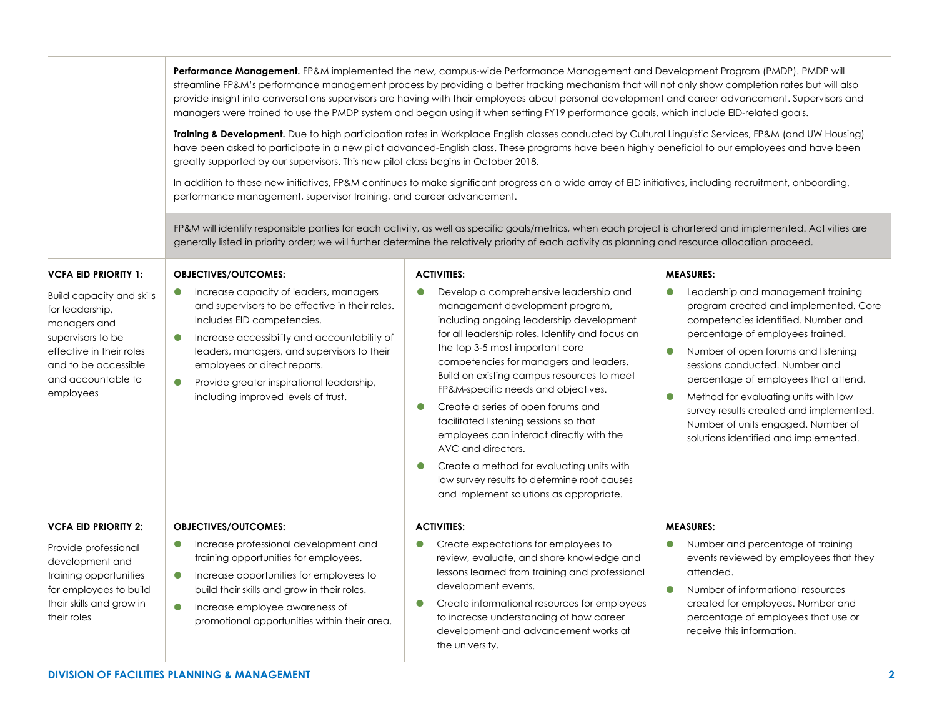|                                                                                                                                                                                 | Performance Management. FP&M implemented the new, campus-wide Performance Management and Development Program (PMDP). PMDP will<br>streamline FP&M's performance management process by providing a better tracking mechanism that will not only show completion rates but will also<br>provide insight into conversations supervisors are having with their employees about personal development and career advancement. Supervisors and<br>managers were trained to use the PMDP system and began using it when setting FY19 performance goals, which include EID-related goals.<br>Training & Development. Due to high participation rates in Workplace English classes conducted by Cultural Linguistic Services, FP&M (and UW Housing)<br>have been asked to participate in a new pilot advanced-English class. These programs have been highly beneficial to our employees and have been<br>greatly supported by our supervisors. This new pilot class begins in October 2018.<br>In addition to these new initiatives, FP&M continues to make significant progress on a wide array of EID initiatives, including recruitment, onboarding,<br>performance management, supervisor training, and career advancement. |                                                                                                                                                                                                                                                                                                                                                                                                                                                                                                                                                                                                                                                                            |                                                                                                                                                                                                                                                                                                                                                                                                                                                                                  |  |  |
|---------------------------------------------------------------------------------------------------------------------------------------------------------------------------------|------------------------------------------------------------------------------------------------------------------------------------------------------------------------------------------------------------------------------------------------------------------------------------------------------------------------------------------------------------------------------------------------------------------------------------------------------------------------------------------------------------------------------------------------------------------------------------------------------------------------------------------------------------------------------------------------------------------------------------------------------------------------------------------------------------------------------------------------------------------------------------------------------------------------------------------------------------------------------------------------------------------------------------------------------------------------------------------------------------------------------------------------------------------------------------------------------------------------|----------------------------------------------------------------------------------------------------------------------------------------------------------------------------------------------------------------------------------------------------------------------------------------------------------------------------------------------------------------------------------------------------------------------------------------------------------------------------------------------------------------------------------------------------------------------------------------------------------------------------------------------------------------------------|----------------------------------------------------------------------------------------------------------------------------------------------------------------------------------------------------------------------------------------------------------------------------------------------------------------------------------------------------------------------------------------------------------------------------------------------------------------------------------|--|--|
|                                                                                                                                                                                 | FP&M will identify responsible parties for each activity, as well as specific goals/metrics, when each project is chartered and implemented. Activities are<br>generally listed in priority order; we will further determine the relatively priority of each activity as planning and resource allocation proceed.                                                                                                                                                                                                                                                                                                                                                                                                                                                                                                                                                                                                                                                                                                                                                                                                                                                                                                     |                                                                                                                                                                                                                                                                                                                                                                                                                                                                                                                                                                                                                                                                            |                                                                                                                                                                                                                                                                                                                                                                                                                                                                                  |  |  |
| <b>VCFA EID PRIORITY 1:</b>                                                                                                                                                     | <b>OBJECTIVES/OUTCOMES:</b>                                                                                                                                                                                                                                                                                                                                                                                                                                                                                                                                                                                                                                                                                                                                                                                                                                                                                                                                                                                                                                                                                                                                                                                            | <b>ACTIVITIES:</b>                                                                                                                                                                                                                                                                                                                                                                                                                                                                                                                                                                                                                                                         | <b>MEASURES:</b>                                                                                                                                                                                                                                                                                                                                                                                                                                                                 |  |  |
| <b>Build capacity and skills</b><br>for leadership,<br>managers and<br>supervisors to be<br>effective in their roles<br>and to be accessible<br>and accountable to<br>employees | Increase capacity of leaders, managers<br>$\bullet$<br>and supervisors to be effective in their roles.<br>Includes EID competencies.<br>Increase accessibility and accountability of<br>$\bullet$<br>leaders, managers, and supervisors to their<br>employees or direct reports.<br>$\bullet$<br>Provide greater inspirational leadership,<br>including improved levels of trust.                                                                                                                                                                                                                                                                                                                                                                                                                                                                                                                                                                                                                                                                                                                                                                                                                                      | Develop a comprehensive leadership and<br>$\bullet$<br>management development program,<br>including ongoing leadership development<br>for all leadership roles. Identify and focus on<br>the top 3-5 most important core<br>competencies for managers and leaders.<br>Build on existing campus resources to meet<br>FP&M-specific needs and objectives.<br>Create a series of open forums and<br>$\bullet$<br>facilitated listening sessions so that<br>employees can interact directly with the<br>AVC and directors.<br>Create a method for evaluating units with<br>$\bullet$<br>low survey results to determine root causes<br>and implement solutions as appropriate. | Leadership and management training<br>$\bullet$<br>program created and implemented. Core<br>competencies identified. Number and<br>percentage of employees trained.<br>Number of open forums and listening<br>$\bullet$<br>sessions conducted. Number and<br>percentage of employees that attend.<br>Method for evaluating units with low<br>$\bullet$<br>survey results created and implemented.<br>Number of units engaged. Number of<br>solutions identified and implemented. |  |  |
| <b>VCFA EID PRIORITY 2:</b>                                                                                                                                                     | <b>OBJECTIVES/OUTCOMES:</b>                                                                                                                                                                                                                                                                                                                                                                                                                                                                                                                                                                                                                                                                                                                                                                                                                                                                                                                                                                                                                                                                                                                                                                                            | <b>ACTIVITIES:</b>                                                                                                                                                                                                                                                                                                                                                                                                                                                                                                                                                                                                                                                         | <b>MEASURES:</b>                                                                                                                                                                                                                                                                                                                                                                                                                                                                 |  |  |
| Provide professional<br>development and<br>training opportunities<br>for employees to build<br>their skills and grow in<br>their roles                                          | Increase professional development and<br>$\bullet$<br>training opportunities for employees.<br>Increase opportunities for employees to<br>$\bullet$<br>build their skills and grow in their roles.<br>$\bullet$<br>Increase employee awareness of<br>promotional opportunities within their area.                                                                                                                                                                                                                                                                                                                                                                                                                                                                                                                                                                                                                                                                                                                                                                                                                                                                                                                      | Create expectations for employees to<br>review, evaluate, and share knowledge and<br>lessons learned from training and professional<br>development events.<br>Create informational resources for employees<br>$\bullet$<br>to increase understanding of how career<br>development and advancement works at<br>the university.                                                                                                                                                                                                                                                                                                                                              | Number and percentage of training<br>events reviewed by employees that they<br>attended.<br>Number of informational resources<br>$\bullet$<br>created for employees. Number and<br>percentage of employees that use or<br>receive this information.                                                                                                                                                                                                                              |  |  |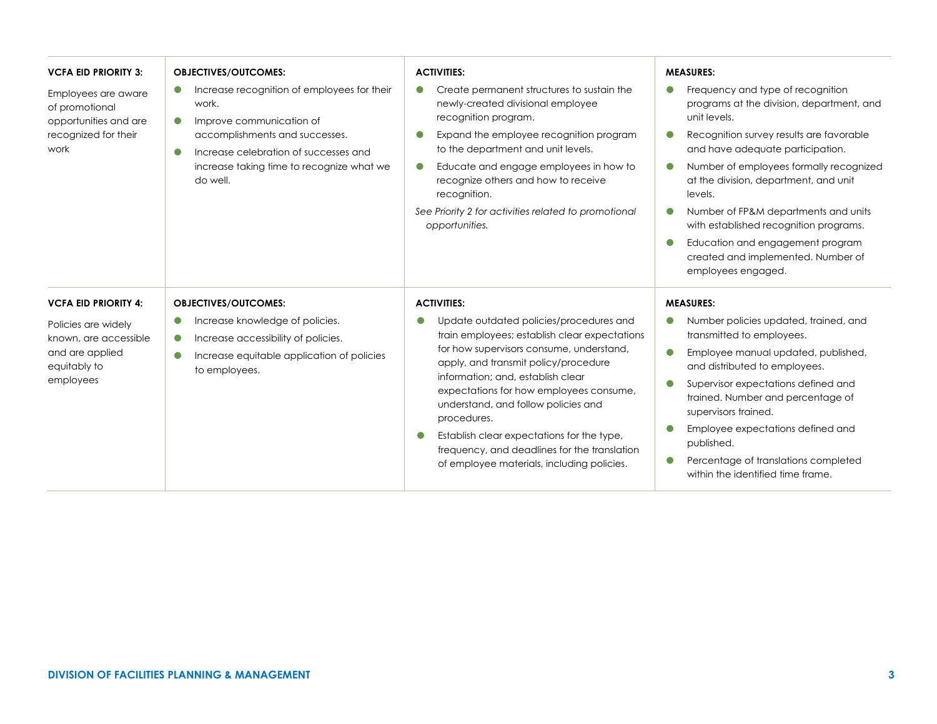| <b>VCFA EID PRIORITY 3:</b>                                                                    | <b>OBJECTIVES/OUTCOMES:</b>                                                                                                                                                                                                                    | <b>ACTIVITIES:</b>                                                                                                                                                                                                                                                                                                                                                                                                                                                          | <b>MEASURES:</b>                                                                                                                                                                                                                                                                                                                                                                                                                                                |
|------------------------------------------------------------------------------------------------|------------------------------------------------------------------------------------------------------------------------------------------------------------------------------------------------------------------------------------------------|-----------------------------------------------------------------------------------------------------------------------------------------------------------------------------------------------------------------------------------------------------------------------------------------------------------------------------------------------------------------------------------------------------------------------------------------------------------------------------|-----------------------------------------------------------------------------------------------------------------------------------------------------------------------------------------------------------------------------------------------------------------------------------------------------------------------------------------------------------------------------------------------------------------------------------------------------------------|
| Employees are aware<br>of promotional<br>opportunities and are<br>recognized for their<br>work | Increase recognition of employees for their<br>work.<br>Improve communication of<br>$\bullet$<br>accomplishments and successes.<br>Increase celebration of successes and<br>$\bullet$<br>increase taking time to recognize what we<br>do well. | Create permanent structures to sustain the<br>$\bullet$<br>newly-created divisional employee<br>recognition program.<br>Expand the employee recognition program<br>to the department and unit levels.<br>Educate and engage employees in how to<br>$\bullet$<br>recognize others and how to receive<br>recognition.<br>See Priority 2 for activities related to promotional<br>opportunities.                                                                               | Frequency and type of recognition<br>programs at the division, department, and<br>unit levels.<br>Recognition survey results are favorable<br>and have adequate participation.<br>Number of employees formally recognized<br>at the division, department, and unit<br>levels.<br>Number of FP&M departments and units<br>with established recognition programs.<br>Education and engagement program<br>created and implemented. Number of<br>employees engaged. |
| <b>VCFA EID PRIORITY 4:</b>                                                                    | <b>OBJECTIVES/OUTCOMES:</b>                                                                                                                                                                                                                    | <b>ACTIVITIES:</b>                                                                                                                                                                                                                                                                                                                                                                                                                                                          | <b>MEASURES:</b>                                                                                                                                                                                                                                                                                                                                                                                                                                                |
| Policies are widely<br>known, are accessible<br>and are applied<br>equitably to<br>employees   | Increase knowledge of policies.<br>$\bullet$<br>Increase accessibility of policies.<br>$\bullet$<br>Increase equitable application of policies<br>$\bullet$<br>to employees.                                                                   | Update outdated policies/procedures and<br>$\bullet$<br>train employees; establish clear expectations<br>for how supervisors consume, understand,<br>apply, and transmit policy/procedure<br>information: and, establish clear<br>expectations for how employees consume,<br>understand, and follow policies and<br>procedures.<br>Establish clear expectations for the type,<br>frequency, and deadlines for the translation<br>of employee materials, including policies. | Number policies updated, trained, and<br>$\bullet$<br>transmitted to employees.<br>Employee manual updated, published,<br>$\bullet$<br>and distributed to employees.<br>Supervisor expectations defined and<br>trained. Number and percentage of<br>supervisors trained.<br>Employee expectations defined and<br>published.<br>Percentage of translations completed<br>within the identified time frame.                                                        |